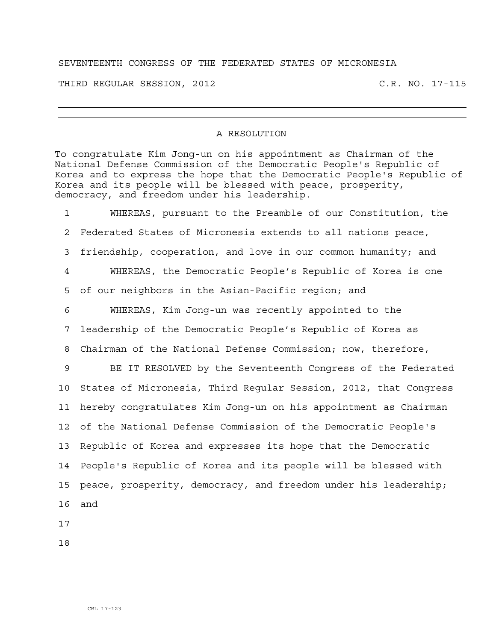## SEVENTEENTH CONGRESS OF THE FEDERATED STATES OF MICRONESIA

THIRD REGULAR SESSION, 2012 C.R. NO. 17-115

## A RESOLUTION

To congratulate Kim Jong-un on his appointment as Chairman of the National Defense Commission of the Democratic People's Republic of Korea and to express the hope that the Democratic People's Republic of Korea and its people will be blessed with peace, prosperity, democracy, and freedom under his leadership.

1 WHEREAS, pursuant to the Preamble of our Constitution, the 2 Federated States of Micronesia extends to all nations peace, 3 friendship, cooperation, and love in our common humanity; and 4 WHEREAS, the Democratic People's Republic of Korea is one 5 of our neighbors in the Asian-Pacific region; and 6 WHEREAS, Kim Jong-un was recently appointed to the 7 leadership of the Democratic People's Republic of Korea as 8 Chairman of the National Defense Commission; now, therefore, 9 BE IT RESOLVED by the Seventeenth Congress of the Federated 10 States of Micronesia, Third Regular Session, 2012, that Congress 11 hereby congratulates Kim Jong-un on his appointment as Chairman 12 of the National Defense Commission of the Democratic People's 13 Republic of Korea and expresses its hope that the Democratic 14 People's Republic of Korea and its people will be blessed with 15 peace, prosperity, democracy, and freedom under his leadership; 16 and

17

18